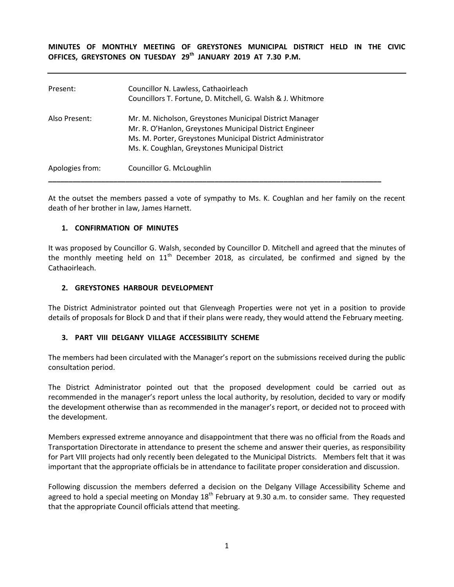**MINUTES OF MONTHLY MEETING OF GREYSTONES MUNICIPAL DISTRICT HELD IN THE CIVIC OFFICES, GREYSTONES ON TUESDAY 29 th JANUARY 2019 AT 7.30 P.M.** 

| Present:        | Councillor N. Lawless, Cathaoirleach<br>Councillors T. Fortune, D. Mitchell, G. Walsh & J. Whitmore                                                                                                                                |
|-----------------|------------------------------------------------------------------------------------------------------------------------------------------------------------------------------------------------------------------------------------|
| Also Present:   | Mr. M. Nicholson, Greystones Municipal District Manager<br>Mr. R. O'Hanlon, Greystones Municipal District Engineer<br>Ms. M. Porter, Greystones Municipal District Administrator<br>Ms. K. Coughlan, Greystones Municipal District |
| Apologies from: | Councillor G. McLoughlin                                                                                                                                                                                                           |

At the outset the members passed a vote of sympathy to Ms. K. Coughlan and her family on the recent death of her brother in law, James Harnett.

### **1. CONFIRMATION OF MINUTES**

It was proposed by Councillor G. Walsh, seconded by Councillor D. Mitchell and agreed that the minutes of the monthly meeting held on  $11<sup>th</sup>$  December 2018, as circulated, be confirmed and signed by the Cathaoirleach.

### **2. GREYSTONES HARBOUR DEVELOPMENT**

The District Administrator pointed out that Glenveagh Properties were not yet in a position to provide details of proposals for Block D and that if their plans were ready, they would attend the February meeting.

### **3. PART VIII DELGANY VILLAGE ACCESSIBILITY SCHEME**

The members had been circulated with the Manager's report on the submissions received during the public consultation period.

The District Administrator pointed out that the proposed development could be carried out as recommended in the manager's report unless the local authority, by resolution, decided to vary or modify the development otherwise than as recommended in the manager's report, or decided not to proceed with the development.

Members expressed extreme annoyance and disappointment that there was no official from the Roads and Transportation Directorate in attendance to present the scheme and answer their queries, as responsibility for Part VIII projects had only recently been delegated to the Municipal Districts. Members felt that it was important that the appropriate officials be in attendance to facilitate proper consideration and discussion.

Following discussion the members deferred a decision on the Delgany Village Accessibility Scheme and agreed to hold a special meeting on Monday  $18<sup>th</sup>$  February at 9.30 a.m. to consider same. They requested that the appropriate Council officials attend that meeting.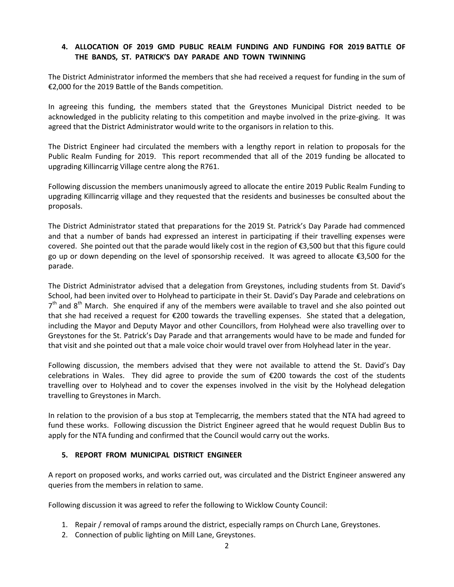## **4. ALLOCATION OF 2019 GMD PUBLIC REALM FUNDING AND FUNDING FOR 2019 BATTLE OF THE BANDS, ST. PATRICK'S DAY PARADE AND TOWN TWINNING**

The District Administrator informed the members that she had received a request for funding in the sum of €2,000 for the 2019 Battle of the Bands competition.

In agreeing this funding, the members stated that the Greystones Municipal District needed to be acknowledged in the publicity relating to this competition and maybe involved in the prize-giving. It was agreed that the District Administrator would write to the organisors in relation to this.

The District Engineer had circulated the members with a lengthy report in relation to proposals for the Public Realm Funding for 2019. This report recommended that all of the 2019 funding be allocated to upgrading Killincarrig Village centre along the R761.

Following discussion the members unanimously agreed to allocate the entire 2019 Public Realm Funding to upgrading Killincarrig village and they requested that the residents and businesses be consulted about the proposals.

The District Administrator stated that preparations for the 2019 St. Patrick's Day Parade had commenced and that a number of bands had expressed an interest in participating if their travelling expenses were covered. She pointed out that the parade would likely cost in the region of €3,500 but that this figure could go up or down depending on the level of sponsorship received. It was agreed to allocate €3,500 for the parade.

The District Administrator advised that a delegation from Greystones, including students from St. David's School, had been invited over to Holyhead to participate in their St. David's Day Parade and celebrations on 7<sup>th</sup> and 8<sup>th</sup> March. She enquired if any of the members were available to travel and she also pointed out that she had received a request for €200 towards the travelling expenses. She stated that a delegation, including the Mayor and Deputy Mayor and other Councillors, from Holyhead were also travelling over to Greystones for the St. Patrick's Day Parade and that arrangements would have to be made and funded for that visit and she pointed out that a male voice choir would travel over from Holyhead later in the year.

Following discussion, the members advised that they were not available to attend the St. David's Day celebrations in Wales. They did agree to provide the sum of €200 towards the cost of the students travelling over to Holyhead and to cover the expenses involved in the visit by the Holyhead delegation travelling to Greystones in March.

In relation to the provision of a bus stop at Templecarrig, the members stated that the NTA had agreed to fund these works. Following discussion the District Engineer agreed that he would request Dublin Bus to apply for the NTA funding and confirmed that the Council would carry out the works.

# **5. REPORT FROM MUNICIPAL DISTRICT ENGINEER**

A report on proposed works, and works carried out, was circulated and the District Engineer answered any queries from the members in relation to same.

Following discussion it was agreed to refer the following to Wicklow County Council:

- 1. Repair / removal of ramps around the district, especially ramps on Church Lane, Greystones.
- 2. Connection of public lighting on Mill Lane, Greystones.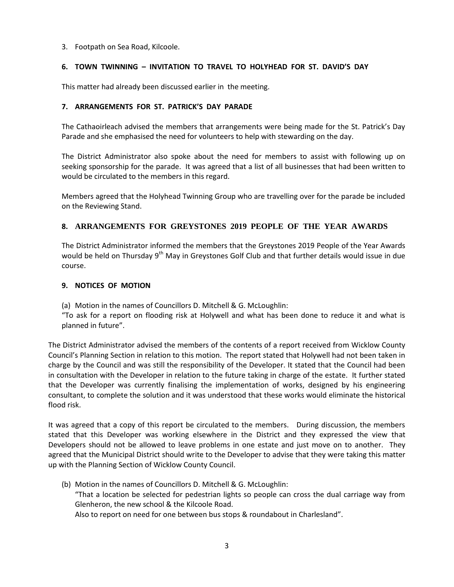### 3. Footpath on Sea Road, Kilcoole.

## **6. TOWN TWINNING – INVITATION TO TRAVEL TO HOLYHEAD FOR ST. DAVID'S DAY**

This matter had already been discussed earlier in the meeting.

### **7. ARRANGEMENTS FOR ST. PATRICK'S DAY PARADE**

The Cathaoirleach advised the members that arrangements were being made for the St. Patrick's Day Parade and she emphasised the need for volunteers to help with stewarding on the day.

The District Administrator also spoke about the need for members to assist with following up on seeking sponsorship for the parade. It was agreed that a list of all businesses that had been written to would be circulated to the members in this regard.

Members agreed that the Holyhead Twinning Group who are travelling over for the parade be included on the Reviewing Stand.

# **8. ARRANGEMENTS FOR GREYSTONES 2019 PEOPLE OF THE YEAR AWARDS**

The District Administrator informed the members that the Greystones 2019 People of the Year Awards would be held on Thursday 9<sup>th</sup> May in Greystones Golf Club and that further details would issue in due course.

### **9. NOTICES OF MOTION**

(a) Motion in the names of Councillors D. Mitchell & G. McLoughlin:

"To ask for a report on flooding risk at Holywell and what has been done to reduce it and what is planned in future".

The District Administrator advised the members of the contents of a report received from Wicklow County Council's Planning Section in relation to this motion. The report stated that Holywell had not been taken in charge by the Council and was still the responsibility of the Developer. It stated that the Council had been in consultation with the Developer in relation to the future taking in charge of the estate. It further stated that the Developer was currently finalising the implementation of works, designed by his engineering consultant, to complete the solution and it was understood that these works would eliminate the historical flood risk.

It was agreed that a copy of this report be circulated to the members. During discussion, the members stated that this Developer was working elsewhere in the District and they expressed the view that Developers should not be allowed to leave problems in one estate and just move on to another. They agreed that the Municipal District should write to the Developer to advise that they were taking this matter up with the Planning Section of Wicklow County Council.

(b) Motion in the names of Councillors D. Mitchell & G. McLoughlin: "That a location be selected for pedestrian lights so people can cross the dual carriage way from Glenheron, the new school & the Kilcoole Road. Also to report on need for one between bus stops & roundabout in Charlesland".